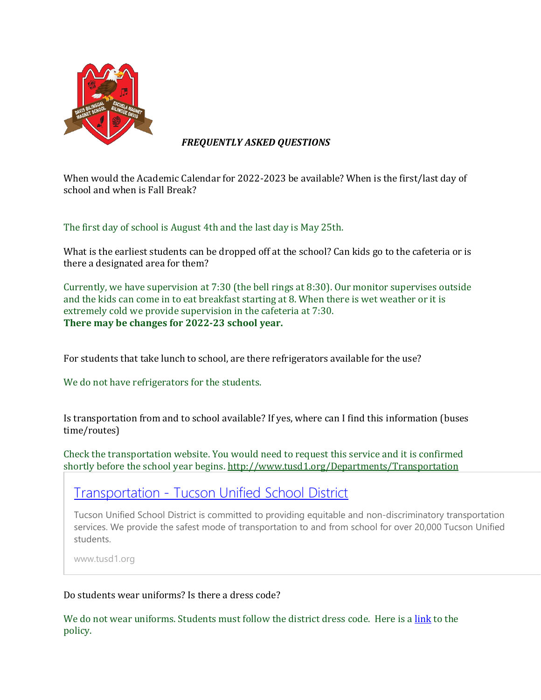

## *FREQUENTLY ASKED QUESTIONS*

When would the Academic Calendar for 2022-2023 be available? When is the first/last day of school and when is Fall Break?

The first day of school is August 4th and the last day is May 25th.

What is the earliest students can be dropped off at the school? Can kids go to the cafeteria or is there a designated area for them?

Currently, we have supervision at 7:30 (the bell rings at 8:30). Our monitor supervises outside and the kids can come in to eat breakfast starting at 8. When there is wet weather or it is extremely cold we provide supervision in the cafeteria at 7:30. **There may be changes for 2022-23 school year.**

For students that take lunch to school, are there refrigerators available for the use?

We do not have refrigerators for the students.

Is transportation from and to school available? If yes, where can I find this information (buses time/routes)

Check the transportation website. You would need to request this service and it is confirmed shortly before the school year begins. <http://www.tusd1.org/Departments/Transportation>

## [Transportation](http://www.tusd1.org/Departments/Transportation) - Tucson Unified School District

Tucson Unified School District is committed to providing equitable and non-discriminatory transportation services. We provide the safest mode of transportation to and from school for over 20,000 Tucson Unified students.

www.tusd1.org

## Do students wear uniforms? Is there a dress code?

We do not wear uniforms. Students must follow the district dress code. Here is a [link](https://govboard.tusd1.org/Policies-and-Regulations/Policy-Code-JICA) to the policy.